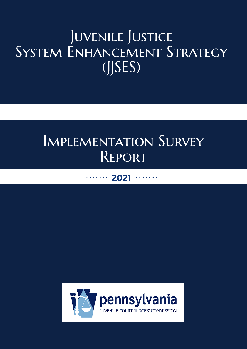# JUVENILE JUSTICE System Enhancement Strategy (JJSES)

# Implementation Survey **REPORT**

## 2021

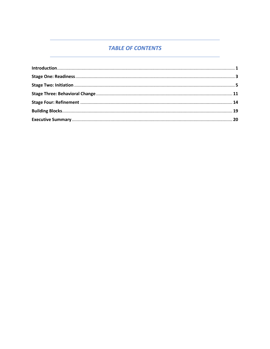## **TABLE OF CONTENTS**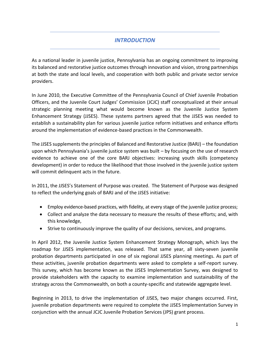## *INTRODUCTION*

As a national leader in juvenile justice, Pennsylvania has an ongoing commitment to improving its balanced and restorative justice outcomes through innovation and vision, strong partnerships at both the state and local levels, and cooperation with both public and private sector service providers.

In June 2010, the Executive Committee of the Pennsylvania Council of Chief Juvenile Probation Officers, and the Juvenile Court Judges' Commission (JCJC) staff conceptualized at their annual strategic planning meeting what would become known as the Juvenile Justice System Enhancement Strategy (JJSES). These systems partners agreed that the JJSES was needed to establish a sustainability plan for various juvenile justice reform initiatives and enhance efforts around the implementation of evidence-based practices in the Commonwealth.

The JJSES supplements the principles of Balanced and Restorative Justice (BARJ) – the foundation upon which Pennsylvania's juvenile justice system was built – by focusing on the use of research evidence to achieve one of the core BARJ objectives: increasing youth skills (competency development) in order to reduce the likelihood that those involved in the juvenile justice system will commit delinquent acts in the future.

In 2011, the JJSES's Statement of Purpose was created. The Statement of Purpose was designed to reflect the underlying goals of BARJ and of the JJSES initiative:

- Employ evidence-based practices, with fidelity, at every stage of the juvenile justice process;
- Collect and analyze the data necessary to measure the results of these efforts; and, with this knowledge,
- Strive to continuously improve the quality of our decisions, services, and programs.

In April 2012, the Juvenile Justice System Enhancement Strategy Monograph, which lays the roadmap for JJSES implementation, was released. That same year, all sixty-seven juvenile probation departments participated in one of six regional JJSES planning meetings. As part of these activities, juvenile probation departments were asked to complete a self-report survey. This survey, which has become known as the JJSES Implementation Survey, was designed to provide stakeholders with the capacity to examine implementation and sustainability of the strategy across the Commonwealth, on both a county-specific and statewide aggregate level.

Beginning in 2013, to drive the implementation of JJSES, two major changes occurred. First, juvenile probation departments were required to complete the JJSES Implementation Survey in conjunction with the annual JCJC Juvenile Probation Services (JPS) grant process.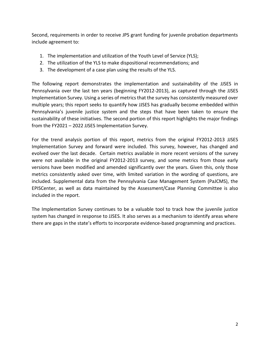Second, requirements in order to receive JPS grant funding for juvenile probation departments include agreement to:

- 1. The implementation and utilization of the Youth Level of Service (YLS);
- 2. The utilization of the YLS to make dispositional recommendations; and
- 3. The development of a case plan using the results of the YLS.

The following report demonstrates the implementation and sustainability of the JJSES in Pennsylvania over the last ten years (beginning FY2012-2013), as captured through the JJSES Implementation Survey. Using a series of metrics that the survey has consistently measured over multiple years; this report seeks to quantify how JJSES has gradually become embedded within Pennsylvania's juvenile justice system and the steps that have been taken to ensure the sustainability of these initiatives. The second portion of this report highlights the major findings from the FY2021 – 2022 JJSES Implementation Survey.

For the trend analysis portion of this report, metrics from the original FY2012-2013 JJSES Implementation Survey and forward were included. This survey, however, has changed and evolved over the last decade. Certain metrics available in more recent versions of the survey were not available in the original FY2012-2013 survey, and some metrics from those early versions have been modified and amended significantly over the years. Given this, only those metrics consistently asked over time, with limited variation in the wording of questions, are included. Supplemental data from the Pennsylvania Case Management System (PaJCMS), the EPISCenter, as well as data maintained by the Assessment/Case Planning Committee is also included in the report.

The Implementation Survey continues to be a valuable tool to track how the juvenile justice system has changed in response to JJSES. It also serves as a mechanism to identify areas where there are gaps in the state's efforts to incorporate evidence-based programming and practices.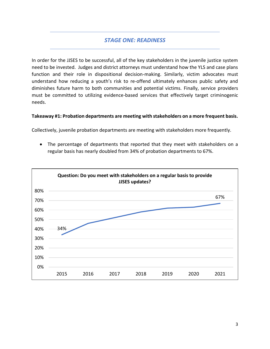## *STAGE ONE: READINESS*

In order for the JJSES to be successful, all of the key stakeholders in the juvenile justice system need to be invested. Judges and district attorneys must understand how the YLS and case plans function and their role in dispositional decision-making. Similarly, victim advocates must understand how reducing a youth's risk to re-offend ultimately enhances public safety and diminishes future harm to both communities and potential victims. Finally, service providers must be committed to utilizing evidence-based services that effectively target criminogenic needs.

#### **Takeaway #1: Probation departments are meeting with stakeholders on a more frequent basis.**

Collectively, juvenile probation departments are meeting with stakeholders more frequently.

• The percentage of departments that reported that they meet with stakeholders on a regular basis has nearly doubled from 34% of probation departments to 67%.

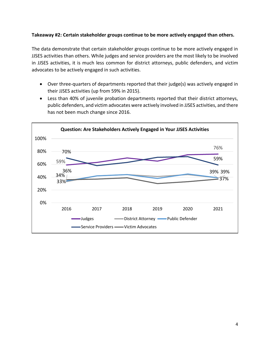#### **Takeaway #2: Certain stakeholder groups continue to be more actively engaged than others.**

The data demonstrate that certain stakeholder groups continue to be more actively engaged in JJSES activities than others. While judges and service providers are the most likely to be involved in JJSES activities, it is much less common for district attorneys, public defenders, and victim advocates to be actively engaged in such activities.

- Over three-quarters of departments reported that their judge(s) was actively engaged in their JJSES activities (up from 59% in 2015).
- Less than 40% of juvenile probation departments reported that their district attorneys, public defenders, and victim advocates were actively involved in JJSES activities, and there has not been much change since 2016.

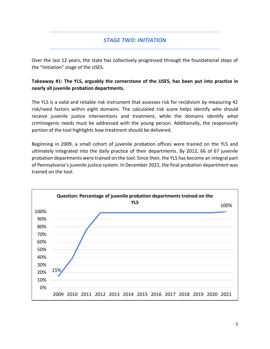## *STAGE TWO: INITIATION*

Over the last 12 years, the state has collectively progressed through the foundational steps of the "Initiation" stage of the JJSES.

**Takeaway #1: The YLS, arguably the cornerstone of the JJSES, has been put into practice in nearly all juvenile probation departments.** 

The YLS is a valid and reliable risk instrument that assesses risk for recidivism by measuring 42 risk/need factors within eight domains. The calculated risk score helps identify *who* should receive juvenile justice interventions and treatment, while the domains identify *what* criminogenic needs must be addressed with the young person. Additionally, the responsivity portion of the tool highlights *how* treatment should be delivered.

Beginning in 2009, a small cohort of juvenile probation offices were trained on the YLS and ultimately integrated into the daily practice of their departments. By 2012, 66 of 67 juvenile probation departments were trained on the tool. Since then, the YLS has become an integral part of Pennsylvania's juvenile justice system. In December 2021, the final probation department was trained on the tool.

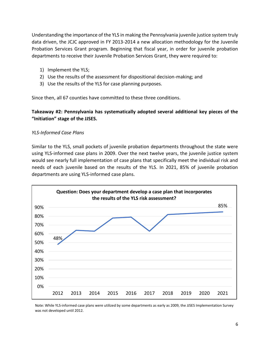Understanding the importance of the YLS in making the Pennsylvania juvenile justice system truly data driven, the JCJC approved in FY 2013-2014 a new allocation methodology for the Juvenile Probation Services Grant program. Beginning that fiscal year, in order for juvenile probation departments to receive their Juvenile Probation Services Grant, they were required to:

- 1) Implement the YLS;
- 2) Use the results of the assessment for dispositional decision-making; and
- 3) Use the results of the YLS for case planning purposes.

Since then, all 67 counties have committed to these three conditions.

**Takeaway #2: Pennsylvania has systematically adopted several additional key pieces of the "Initiation" stage of the JJSES.**

#### *YLS-Informed Case Plans*

Similar to the YLS, small pockets of juvenile probation departments throughout the state were using YLS-informed case plans in 2009. Over the next twelve years, the juvenile justice system would see nearly full implementation of case plans that specifically meet the individual risk and needs of each juvenile based on the results of the YLS. In 2021, 85% of juvenile probation departments are using YLS-informed case plans.



Note: While YLS-informed case plans were utilized by some departments as early as 2009, the JJSES Implementation Survey was not developed until 2012.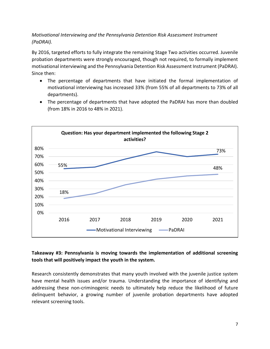## *Motivational Interviewing and the Pennsylvania Detention Risk Assessment Instrument (PaDRAI).*

By 2016, targeted efforts to fully integrate the remaining Stage Two activities occurred. Juvenile probation departments were strongly encouraged, though not required, to formally implement motivational interviewing and the Pennsylvania Detention Risk Assessment Instrument (PaDRAI). Since then:

- The percentage of departments that have initiated the formal implementation of motivational interviewing has increased 33% (from 55% of all departments to 73% of all departments).
- The percentage of departments that have adopted the PaDRAI has more than doubled (from 18% in 2016 to 48% in 2021).



## **Takeaway #3: Pennsylvania is moving towards the implementation of additional screening tools that will positively impact the youth in the system.**

Research consistently demonstrates that many youth involved with the juvenile justice system have mental health issues and/or trauma. Understanding the importance of identifying and addressing these non-criminogenic needs to ultimately help reduce the likelihood of future delinquent behavior, a growing number of juvenile probation departments have adopted relevant screening tools.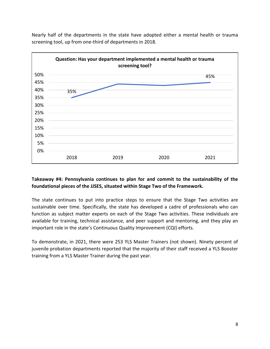

Nearly half of the departments in the state have adopted either a mental health or trauma screening tool, up from one-third of departments in 2018.

## **Takeaway #4: Pennsylvania continues to plan for and commit to the sustainability of the foundational pieces of the JJSES, situated within Stage Two of the Framework.**

The state continues to put into practice steps to ensure that the Stage Two activities are sustainable over time. Specifically, the state has developed a cadre of professionals who can function as subject matter experts on each of the Stage Two activities. These individuals are available for training, technical assistance, and peer support and mentoring, and they play an important role in the state's Continuous Quality Improvement (CQI) efforts.

To demonstrate, in 2021, there were 253 YLS Master Trainers (not shown). Ninety percent of juvenile probation departments reported that the majority of their staff received a YLS Booster training from a YLS Master Trainer during the past year.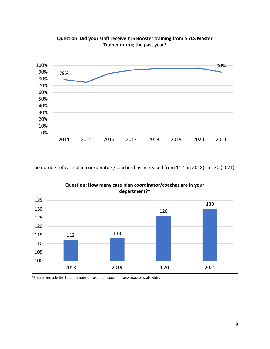

The number of case plan coordinators/coaches has increased from 112 (in 2018) to 130 (2021).



\*Figures include the total number of case plan coordinators/coaches statewide.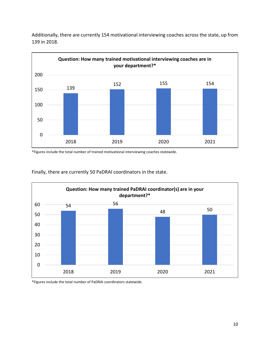

Additionally, there are currently 154 motivational interviewing coaches across the state, up from 139 in 2018.

\*Figures include the total number of trained motivational interviewing coaches statewide.



Finally, there are currently 50 PaDRAI coordinators in the state.

\*Figures include the total number of PaDRAI coordinators statewide.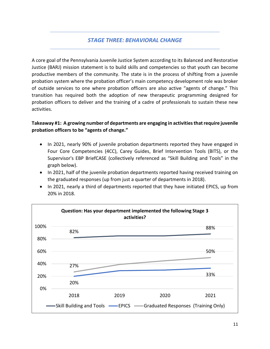## *STAGE THREE: BEHAVIORAL CHANGE*

A core goal of the Pennsylvania Juvenile Justice System according to its Balanced and Restorative Justice (BARJ) mission statement is to build skills and competencies so that youth can become productive members of the community. The state is in the process of shifting from a juvenile probation system where the probation officer's main competency development role was broker of outside services to one where probation officers are also active "agents of change." This transition has required both the adoption of new therapeutic programming designed for probation officers to deliver and the training of a cadre of professionals to sustain these new activities.

## **Takeaway #1: A growing number of departments are engaging in activities that require juvenile probation officers to be "agents of change."**

- In 2021, nearly 90% of juvenile probation departments reported they have engaged in Four Core Competencies (4CC), Carey Guides, Brief Intervention Tools (BITS), or the Supervisor's EBP BriefCASE (collectively referenced as "Skill Building and Tools" in the graph below).
- In 2021, half of the juvenile probation departments reported having received training on the graduated responses (up from just a quarter of departments in 2018).
- In 2021, nearly a third of departments reported that they have initiated EPICS, up from 20% in 2018.

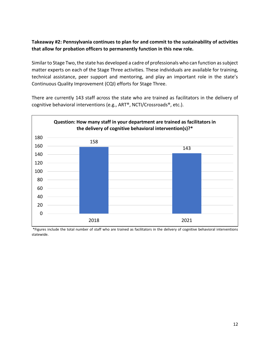## **Takeaway #2: Pennsylvania continues to plan for and commit to the sustainability of activities that allow for probation officers to permanently function in this new role.**

Similar to Stage Two, the state has developed a cadre of professionals who can function as subject matter experts on each of the Stage Three activities. These individuals are available for training, technical assistance, peer support and mentoring, and play an important role in the state's Continuous Quality Improvement (CQI) efforts for Stage Three.

There are currently 143 staff across the state who are trained as facilitators in the delivery of cognitive behavioral interventions (e.g., ART®, NCTI/Crossroads®, etc.).



\*Figures include the total number of staff who are trained as facilitators in the delivery of cognitive behavioral interventions statewide.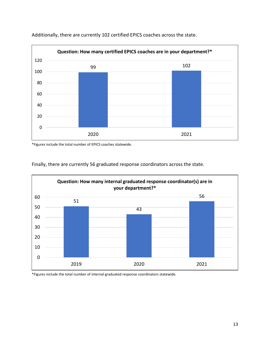

Additionally, there are currently 102 certified EPICS coaches across the state.

\*Figures include the total number of EPICS coaches statewide.





\*Figures include the total number of internal graduated response coordinators statewide.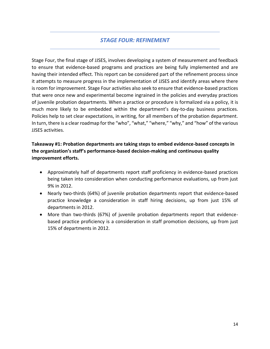## *STAGE FOUR: REFINEMENT*

Stage Four, the final stage of JJSES, involves developing a system of measurement and feedback to ensure that evidence-based programs and practices are being fully implemented and are having their intended effect. This report can be considered part of the refinement process since it attempts to measure progress in the implementation of JJSES and identify areas where there is room for improvement. Stage Four activities also seek to ensure that evidence-based practices that were once new and experimental become ingrained in the policies and everyday practices of juvenile probation departments. When a practice or procedure is formalized via a policy, it is much more likely to be embedded within the department's day-to-day business practices. Policies help to set clear expectations, in writing, for all members of the probation department. In turn, there is a clear roadmap for the "who", "what," "where," "why," and "how" of the various JJSES activities.

## **Takeaway #1: Probation departments are taking steps to embed evidence-based concepts in the organization's staff's performance-based decision-making and continuous quality improvement efforts.**

- Approximately half of departments report staff proficiency in evidence-based practices being taken into consideration when conducting performance evaluations, up from just 9% in 2012.
- Nearly two-thirds (64%) of juvenile probation departments report that evidence-based practice knowledge a consideration in staff hiring decisions, up from just 15% of departments in 2012.
- More than two-thirds (67%) of juvenile probation departments report that evidencebased practice proficiency is a consideration in staff promotion decisions, up from just 15% of departments in 2012.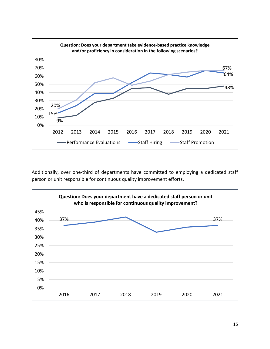

Additionally, over one-third of departments have committed to employing a dedicated staff person or unit responsible for continuous quality improvement efforts.

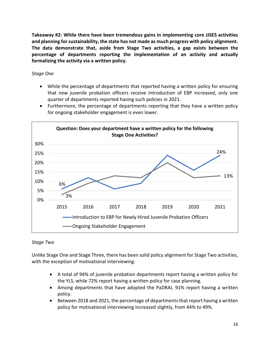**Takeaway #2: While there have been tremendous gains in implementing core JJSES activities and planning for sustainability, the state has not made as much progress with policy alignment. The data demonstrate that, aside from Stage Two activities, a gap exists between the percentage of departments reporting the implementation of an activity and actually formalizing the activity via a written policy.**

## *Stage One*

• While the percentage of departments that reported having a written policy for ensuring that new juvenile probation officers receive Introduction of EBP increased, only one quarter of departments reported having such policies in 2021.



• Furthermore, the percentage of departments reporting that they have a written policy for ongoing stakeholder engagement is even lower.

## *Stage Two*

Unlike Stage One and Stage Three, there has been solid policy alignment for Stage Two activities, with the exception of motivational interviewing.

- A total of 94% of juvenile probation departments report having a written policy for the YLS, while 72% report having a written policy for case planning.
- Among departments that have adopted the PaDRAI, 91% report having a written policy.
- Between 2018 and 2021, the percentage of departments that report having a written policy for motivational interviewing increased slightly, from 44% to 49%.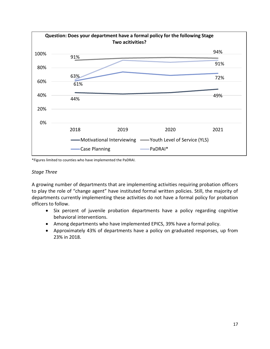

\*Figures limited to counties who have implemented the PaDRAI.

#### *Stage Three*

A growing number of departments that are implementing activities requiring probation officers to play the role of "change agent" have instituted formal written policies. Still, the majority of departments currently implementing these activities do not have a formal policy for probation officers to follow.

- Six percent of juvenile probation departments have a policy regarding cognitive behavioral interventions.
- Among departments who have implemented EPICS, 39% have a formal policy.
- Approximately 43% of departments have a policy on graduated responses, up from 23% in 2018.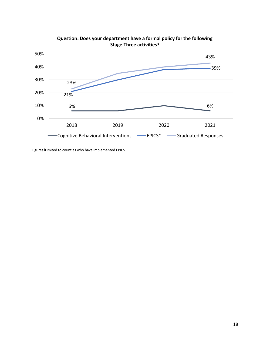

Figures lLimited to counties who have implemented EPICS.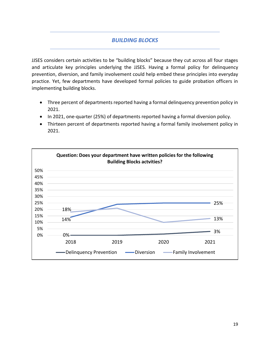## *BUILDING BLOCKS*

JJSES considers certain activities to be "building blocks" because they cut across all four stages and articulate key principles underlying the JJSES. Having a formal policy for delinquency prevention, diversion, and family involvement could help embed these principles into everyday practice. Yet, few departments have developed formal policies to guide probation officers in implementing building blocks.

- Three percent of departments reported having a formal delinquency prevention policy in 2021.
- In 2021, one-quarter (25%) of departments reported having a formal diversion policy.
- Thirteen percent of departments reported having a formal family involvement policy in 2021.

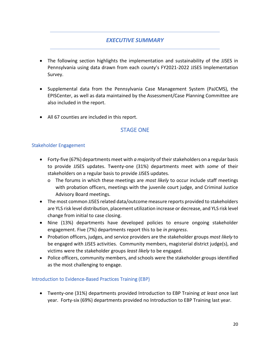## *EXECUTIVE SUMMARY*

- The following section highlights the implementation and sustainability of the JJSES in Pennsylvania using data drawn from each county's FY2021-2022 JJSES Implementation Survey.
- Supplemental data from the Pennsylvania Case Management System (PaJCMS), the EPISCenter, as well as data maintained by the Assessment/Case Planning Committee are also included in the report.
- All 67 counties are included in this report.

## STAGE ONE

#### Stakeholder Engagement

- Forty-five (67%) departments meet with *a majority* of their stakeholders on a regular basis to provide JJSES updates. Twenty-one (31%) departments meet with *some* of their stakeholders on a regular basis to provide JJSES updates.
	- o The forums in which these meetings are *most likely* to occur include staff meetings with probation officers, meetings with the juvenile court judge, and Criminal Justice Advisory Board meetings.
- The most common JJSES related data/outcome measure reports provided to stakeholders are YLS risk level distribution, placement utilization increase or decrease, and YLS risk level change from initial to case closing.
- Nine (13%) departments have developed policies to ensure ongoing stakeholder engagement. Five (7%) departments report this to be *in progress*.
- Probation officers, judges, and service providers are the stakeholder groups *most likely* to be engaged with JJSES activities. Community members, magisterial district judge(s), and victims were the stakeholder groups *least likely* to be engaged.
- Police officers, community members, and schools were the stakeholder groups identified as the most challenging to engage.

#### Introduction to Evidence-Based Practices Training (EBP)

• Twenty-one (31%) departments provided Introduction to EBP Training *at least* once last year. Forty-six (69%) departments provided no Introduction to EBP Training last year.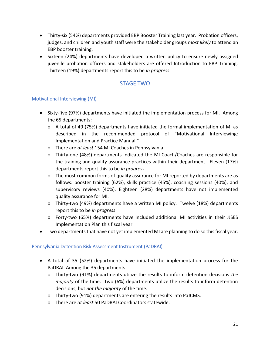- Thirty-six (54%) departments provided EBP Booster Training last year. Probation officers, judges, and children and youth staff were the stakeholder groups *most likely* to attend an EBP booster training.
- Sixteen (24%) departments have developed a written policy to ensure newly assigned juvenile probation officers and stakeholders are offered Introduction to EBP Training. Thirteen (19%) departments report this to be *in progress*.

## STAGE TWO

## Motivational Interviewing (MI)

- Sixty-five (97%) departments have initiated the implementation process for MI. Among the 65 departments:
	- o A total of 49 (75%) departments have initiated the formal implementation of MI as described in the recommended protocol of "Motivational Interviewing: Implementation and Practice Manual."
	- o There are *at least* 154 MI Coaches in Pennsylvania.
	- o Thirty-one (48%) departments indicated the MI Coach/Coaches are responsible for the training and quality assurance practices within their department. Eleven (17%) departments report this to be *in progress*.
	- o The most common forms of quality assurance for MI reported by departments are as follows: booster training (62%), skills practice (45%), coaching sessions (40%), and supervisory reviews (40%). Eighteen (28%) departments have not implemented quality assurance for MI.
	- o Thirty-two (49%) departments have a written MI policy. Twelve (18%) departments report this to be *in progress*.
	- o Forty-two (65%) departments have included additional MI activities in their JJSES Implementation Plan this fiscal year.
- Two departments that have not yet implemented MI are planning to do so this fiscal year.

## Pennsylvania Detention Risk Assessment Instrument (PaDRAI)

- A total of 35 (52%) departments have initiated the implementation process for the PaDRAI. Among the 35 departments:
	- o Thirty-two (91%) departments utilize the results to inform detention decisions *the majority* of the time. Two (6%) departments utilize the results to inform detention decisions, but *not the majority* of the time.
	- o Thirty-two (91%) departments are entering the results into PaJCMS.
	- o There are *at least* 50 PaDRAI Coordinators statewide.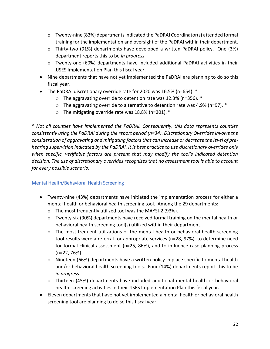- o Twenty-nine (83%) departments indicated the PaDRAI Coordinator(s) attended formal training for the implementation and oversight of the PaDRAI within their department.
- o Thirty-two (91%) departments have developed a written PaDRAI policy. One (3%) department reports this to be *in progress*.
- o Twenty-one (60%) departments have included additional PaDRAI activities in their JJSES Implementation Plan this fiscal year.
- Nine departments that have not yet implemented the PaDRAI are planning to do so this fiscal year.
- The PaDRAI discretionary override rate for 2020 was 16.5% (n=654). \*
	- $\circ$  The aggravating override to detention rate was 12.3% (n=356).  $*$
	- $\circ$  The aggravating override to alternative to detention rate was 4.9% (n=97).  $*$
	- o The mitigating override rate was 18.8% (n=201). \*

*\* Not all counties have implemented the PaDRAI. Consequently, this data represents counties consistently using the PaDRAI during the report period (n=34). Discretionary Overrides involve the consideration of aggravating and mitigating factors that can increase or decrease the level of prehearing supervision indicated by the PaDRAI. It is best practice to use discretionary overrides only when specific, verifiable factors are present that may modify the tool's indicated detention decision. The use of discretionary overrides recognizes that no assessment tool is able to account for every possible scenario.*

## Mental Health/Behavioral Health Screening

- Twenty-nine (43%) departments have initiated the implementation process for either a mental health or behavioral health screening tool. Among the 29 departments:
	- o The most frequently utilized tool was the MAYSI-2 (93%).
	- o Twenty-six (90%) departments have received formal training on the mental health or behavioral health screening tool(s) utilized within their department.
	- o The most frequent utilizations of the mental health or behavioral health screening tool results were a referral for appropriate services (n=28, 97%), to determine need for formal clinical assessment (n=25, 86%), and to influence case planning process (n=22, 76%).
	- o Nineteen (66%) departments have a written policy in place specific to mental health and/or behavioral health screening tools. Four (14%) departments report this to be *in progress*.
	- o Thirteen (45%) departments have included additional mental health or behavioral health screening activities in their JJSES Implementation Plan this fiscal year.
- Eleven departments that have not yet implemented a mental health or behavioral health screening tool are planning to do so this fiscal year.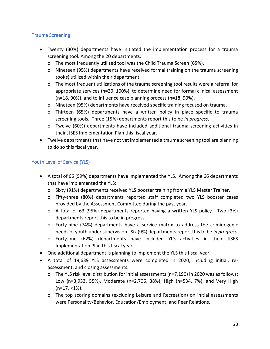#### Trauma Screening

- Twenty (30%) departments have initiated the implementation process for a trauma screening tool. Among the 20 departments:
	- o The most frequently utilized tool was the Child Trauma Screen (65%).
	- o Nineteen (95%) departments have received formal training on the trauma screening tool(s) utilized within their department.
	- o The most frequent utilizations of the trauma screening tool results were a referral for appropriate services (n=20, 100%), to determine need for formal clinical assessment (n=18, 90%), and to influence case planning process (n=18, 90%).
	- o Nineteen (95%) departments have received specific training focused on trauma.
	- o Thirteen (65%) departments have a written policy in place specific to trauma screening tools. Three (15%) departments report this to be *in progress*.
	- o Twelve (60%) departments have included additional trauma screening activities in their JJSES Implementation Plan this fiscal year.
- Twelve departments that have not yet implemented a trauma screening tool are planning to do so this fiscal year.

## Youth Level of Service (YLS)

- A total of 66 (99%) departments have implemented the YLS. Among the 66 departments that have implemented the YLS:
	- o Sixty (91%) departments received YLS booster training from a YLS Master Trainer.
	- o Fifty-three (80%) departments reported staff completed two YLS booster cases provided by the Assessment Committee during the past year.
	- o A total of 63 (95%) departments reported having a written YLS policy. Two (3%) departments report this to be in progress.
	- o Forty-nine (74%) departments have a service matrix to address the criminogenic needs of youth under supervision. Six (9%) departments report this to be *in progress*.
	- o Forty-one (62%) departments have included YLS activities in their JJSES Implementation Plan this fiscal year.
- One additional department is planning to implement the YLS this fiscal year.
- A total of 19,639 YLS assessments were completed in 2020, including initial, reassessment, and closing assessments.
	- o The YLS risk level distribution for initial assessments (n=7,190) in 2020 was as follows: Low (n=3,933, 55%), Moderate (n=2,706, 38%), High (n=534, 7%), and Very High  $(n=17, 1\%)$ .
	- o The top scoring domains (excluding Leisure and Recreation) on initial assessments were Personality/Behavior, Education/Employment, and Peer Relations.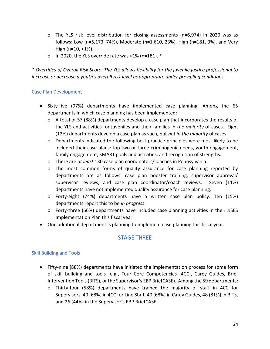- o The YLS risk level distribution for closing assessments (n=6,974) in 2020 was as follows: Low (n=5,173, 74%), Moderate (n=1,610, 23%), High (n=181, 3%), and Very High (n=10, <1%).
- o In 2020, the YLS override rate was <1% (n=181). \*

*\* Overrides of Overall Risk Score: The YLS allows flexibility for the juvenile justice professional to increase or decrease a youth's overall risk level as appropriate under prevailing conditions.* 

#### Case Plan Development

- Sixty-five (97%) departments have implemented case planning. Among the 65 departments in which case planning has been implemented:
	- o A total of 57 (88%) departments develop a case plan that incorporates the results of the YLS and activities for juveniles and their families in *the majority* of cases. Eight (12%) departments develop a case plan as such, but *not in the majority* of cases.
	- o Departments indicated the following best practice principles were most likely to be included their case plans: top two or three criminogenic needs, youth engagement, family engagement, SMART goals and activities, and recognition of strengths.
	- o There are *at least* 130 case plan coordinators/coaches in Pennsylvania.
	- o The most common forms of quality assurance for case planning reported by departments are as follows: case plan booster training, supervisor approval/ supervisor reviews, and case plan coordinator/coach reviews. Seven (11%) departments have not implemented quality assurance for case planning.
	- o Forty-eight (74%) departments have a written case plan policy. Ten (15%) departments report this to be *in progress*.
	- o Forty-three (66%) departments have included case planning activities in their JJSES Implementation Plan this fiscal year.
- One additional department is planning to implement case planning this fiscal year.

## STAGE THREE

#### Skill Building and Tools

- Fifty-nine (88%) departments have initiated the implementation process for some form of skill building and tools (e.g., Four Core Competencies (4CC), Carey Guides, Brief Intervention Tools (BITS), or the Supervisor's EBP BriefCASE). Among the 59 departments:
	- o Thirty-four (58%) departments have trained the majority of staff in 4CC for Supervisors, 40 (68%) in 4CC for Line Staff, 40 (68%) in Carey Guides, 48 (81%) in BITS, and 26 (44%) in the Supervisor's EBP BriefCASE.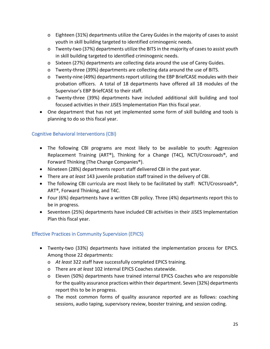- o Eighteen (31%) departments utilize the Carey Guides in the majority of cases to assist youth in skill building targeted to identified criminogenic needs.
- o Twenty-two (37%) departments utilize the BITS in the majority of cases to assist youth in skill building targeted to identified criminogenic needs.
- o Sixteen (27%) departments are collecting data around the use of Carey Guides.
- o Twenty-three (39%) departments are collecting data around the use of BITS.
- o Twenty-nine (49%) departments report utilizing the EBP BriefCASE modules with their probation officers. A total of 18 departments have offered all 18 modules of the Supervisor's EBP BriefCASE to their staff.
- o Twenty-three (39%) departments have included additional skill building and tool focused activities in their JJSES Implementation Plan this fiscal year.
- One department that has not yet implemented some form of skill building and tools is planning to do so this fiscal year.

## Cognitive Behavioral Interventions (CBI)

- The following CBI programs are most likely to be available to youth: Aggression Replacement Training (ART®), Thinking for a Change (T4C), NCTI/Crossroads®, and Forward Thinking (The Change Companies®).
- Nineteen (28%) departments report staff delivered CBI in the past year.
- There are *at least* 143 juvenile probation staff trained in the delivery of CBI.
- The following CBI curricula are most likely to be facilitated by staff: NCTI/Crossroads<sup>®</sup>, ART®, Forward Thinking, and T4C.
- Four (6%) departments have a written CBI policy. Three (4%) departments report this to be in progress.
- Seventeen (25%) departments have included CBI activities in their JJSES Implementation Plan this fiscal year.

## Effective Practices in Community Supervision (EPICS)

- Twenty-two (33%) departments have initiated the implementation process for EPICS. Among those 22 departments:
	- o *At least* 322 staff have successfully completed EPICS training.
	- o There are *at least* 102 internal EPICS Coaches statewide.
	- o Eleven (50%) departments have trained internal EPICS Coaches who are responsible for the quality assurance practices within their department. Seven (32%) departments report this to be in progress.
	- o The most common forms of quality assurance reported are as follows: coaching sessions, audio taping, supervisory review, booster training, and session coding.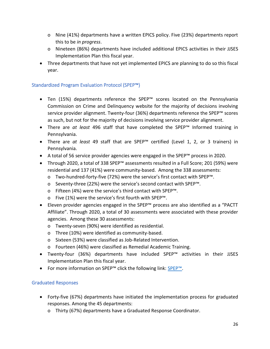- o Nine (41%) departments have a written EPICS policy. Five (23%) departments report this to be *in progress*.
- o Nineteen (86%) departments have included additional EPICS activities in their JJSES Implementation Plan this fiscal year.
- Three departments that have not yet implemented EPICS are planning to do so this fiscal year.

## Standardized Program Evaluation Protocol (SPEP™)

- Ten (15%) departments reference the SPEP™ scores located on the Pennsylvania Commission on Crime and Delinquency website for the majority of decisions involving service provider alignment. Twenty-four (36%) departments reference the SPEP™ scores as such, but not for the majority of decisions involving service provider alignment.
- There are *at least* 496 staff that have completed the SPEP™ Informed training in Pennsylvania.
- There are *at least* 49 staff that are SPEP™ certified (Level 1, 2, or 3 trainers) in Pennsylvania.
- A total of 56 service provider agencies were engaged in the SPEP™ process in 2020.
- Through 2020, a total of 338 SPEP™ assessments resulted in a Full Score; 201 (59%) were residential and 137 (41%) were community-based. Among the 338 assessments:
	- o Two-hundred-forty-five (72%) were the service's first contact with SPEP™.
	- o Seventy-three (22%) were the service's second contact with SPEP™.
	- o Fifteen (4%) were the service's third contact with SPEP™.
	- o Five (1%) were the service's first fourth with SPEP™.
- Eleven provider agencies engaged in the SPEP™ process are also identified as a "PACTT Affiliate". Through 2020, a total of 30 assessments were associated with these provider agencies. Among these 30 assessments:
	- o Twenty-seven (90%) were identified as residential.
	- o Three (10%) were identified as community-based.
	- o Sixteen (53%) were classified as Job-Related Intervention.
	- o Fourteen (46%) were classified as Remedial Academic Training.
- Twenty-four (36%) departments have included SPEP™ activities in their JJSES Implementation Plan this fiscal year.
- For more information on SPEP™ click the following link: [SPEP™](https://www.pccd.pa.gov/Juvenile-Justice/Pages/Standarized-Program-Evaluation-Protocol.aspx).

## Graduated Responses

- Forty-five (67%) departments have initiated the implementation process for graduated responses. Among the 45 departments:
	- o Thirty (67%) departments have a Graduated Response Coordinator.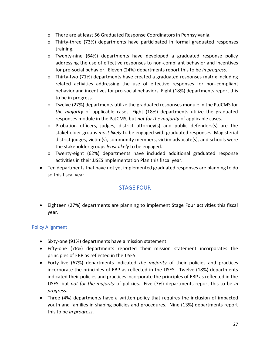- o There are at least 56 Graduated Response Coordinators in Pennsylvania.
- o Thirty-three (73%) departments have participated in formal graduated responses training.
- o Twenty-nine (64%) departments have developed a graduated response policy addressing the use of effective responses to non-compliant behavior and incentives for pro-social behavior. Eleven (24%) departments report this to be *in progress*.
- o Thirty-two (71%) departments have created a graduated responses matrix including related activities addressing the use of effective responses for non-compliant behavior and incentives for pro-social behaviors. Eight (18%) departments report this to be in progress.
- o Twelve (27%) departments utilize the graduated responses module in the PaJCMS for *the majority* of applicable cases. Eight (18%) departments utilize the graduated responses module in the PaJCMS, but *not for the majority* of applicable cases.
- o Probation officers, judges, district attorney(s) and public defenders(s) are the stakeholder groups *most likely* to be engaged with graduated responses. Magisterial district judges, victim(s), community members, victim advocate(s), and schools were the stakeholder groups *least likely* to be engaged.
- o Twenty-eight (62%) departments have included additional graduated response activities in their JJSES Implementation Plan this fiscal year.
- Ten departments that have not yet implemented graduated responses are planning to do so this fiscal year.

## STAGE FOUR

• Eighteen (27%) departments are planning to implement Stage Four activities this fiscal year.

## Policy Alignment

- Sixty-one (91%) departments have a mission statement.
- Fifty-one (76%) departments reported their mission statement incorporates the principles of EBP as reflected in the JJSES.
- Forty-five (67%) departments indicated *the majority* of their policies and practices incorporate the principles of EBP as reflected in the JJSES. Twelve (18%) departments indicated their policies and practices incorporate the principles of EBP as reflected in the JJSES, but *not for the majority* of policies. Five (7%) departments report this to be *in progress*.
- Three (4%) departments have a written policy that requires the inclusion of impacted youth and families in shaping policies and procedures. Nine (13%) departments report this to be *in progress*.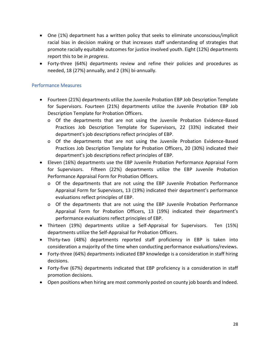- One (1%) department has a written policy that seeks to eliminate unconscious/implicit racial bias in decision making or that increases staff understanding of strategies that promote racially equitable outcomes for justice involved youth. Eight (12%) departments report this to be *in progress*.
- Forty-three (64%) departments review and refine their policies and procedures as needed, 18 (27%) annually, and 2 (3%) bi-annually.

#### Performance Measures

- Fourteen (21%) departments utilize the Juvenile Probation EBP Job Description Template for Supervisors. Fourteen (21%) departments utilize the Juvenile Probation EBP Job Description Template for Probation Officers.
	- o Of the departments that are not using the Juvenile Probation Evidence-Based Practices Job Description Template for Supervisors, 22 (33%) indicated their department's job descriptions reflect principles of EBP.
	- o Of the departments that are not using the Juvenile Probation Evidence-Based Practices Job Description Template for Probation Officers, 20 (30%) indicated their department's job descriptions reflect principles of EBP.
- Eleven (16%) departments use the EBP Juvenile Probation Performance Appraisal Form for Supervisors. Fifteen (22%) departments utilize the EBP Juvenile Probation Performance Appraisal Form for Probation Officers.
	- o Of the departments that are not using the EBP Juvenile Probation Performance Appraisal Form for Supervisors, 13 (19%) indicated their department's performance evaluations reflect principles of EBP.
	- o Of the departments that are not using the EBP Juvenile Probation Performance Appraisal Form for Probation Officers, 13 (19%) indicated their department's performance evaluations reflect principles of EBP.
- Thirteen (19%) departments utilize a Self-Appraisal for Supervisors. Ten (15%) departments utilize the Self-Appraisal for Probation Officers.
- Thirty-two (48%) departments reported staff proficiency in EBP is taken into consideration a majority of the time when conducting performance evaluations/reviews.
- Forty-three (64%) departments indicated EBP knowledge is a consideration in staff hiring decisions.
- Forty-five (67%) departments indicated that EBP proficiency is a consideration in staff promotion decisions.
- Open positions when hiring are most commonly posted on county job boards and Indeed.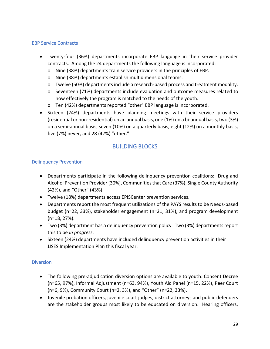## EBP Service Contracts

- Twenty-four (36%) departments incorporate EBP language in their service provider contracts. Among the 24 departments the following language is incorporated:
	- o Nine (38%) departments train service providers in the principles of EBP.
	- o Nine (38%) departments establish multidimensional teams.
	- o Twelve (50%) departments include a research-based process and treatment modality.
	- o Seventeen (71%) departments include evaluation and outcome measures related to how effectively the program is matched to the needs of the youth.
	- o Ten (42%) departments reported "other" EBP language is incorporated.
- Sixteen (24%) departments have planning meetings with their service providers (residential or non-residential) on an annual basis, one (1%) on a bi-annual basis, two (3%) on a semi-annual basis, seven (10%) on a quarterly basis, eight (12%) on a monthly basis, five (7%) never, and 28 (42%) "other."

## BUILDING BLOCKS

#### Delinquency Prevention

- Departments participate in the following delinquency prevention coalitions: Drug and Alcohol Prevention Provider (30%), Communities that Care (37%), Single County Authority (42%), and "Other" (43%).
- Twelve (18%) departments access EPISCenter prevention services.
- Departments report the most frequent utilizations of the PAYS results to be Needs-based budget (n=22, 33%), stakeholder engagement (n=21, 31%), and program development (n=18, 27%).
- Two (3%) department has a delinquency prevention policy. Two (3%) departments report this to be *in progress*.
- Sixteen (24%) departments have included delinquency prevention activities in their JJSES Implementation Plan this fiscal year.

#### **Diversion**

- The following pre-adjudication diversion options are available to youth: Consent Decree (n=65, 97%), Informal Adjustment (n=63, 94%), Youth Aid Panel (n=15, 22%), Peer Court (n=6, 9%), Community Court (n=2, 3%), and "Other" (n=22, 33%).
- Juvenile probation officers, juvenile court judges, district attorneys and public defenders are the stakeholder groups most likely to be educated on diversion. Hearing officers,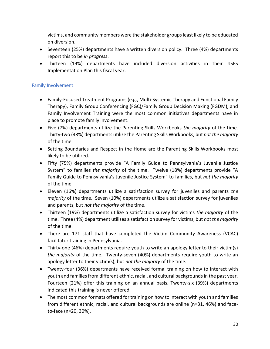victims, and community members were the stakeholder groups least likely to be educated on diversion.

- Seventeen (25%) departments have a written diversion policy. Three (4%) departments report this to be *in progress*.
- Thirteen (19%) departments have included diversion activities in their JJSES Implementation Plan this fiscal year.

## Family Involvement

- Family-Focused Treatment Programs (e.g., Multi-Systemic Therapy and Functional Family Therapy), Family Group Conferencing (FGC)/Family Group Decision Making (FGDM), and Family Involvement Training were the most common initiatives departments have in place to promote family involvement.
- Five (7%) departments utilize the Parenting Skills Workbooks *the majority* of the time. Thirty-two (48%) departments utilize the Parenting Skills Workbooks, but *not the majority* of the time.
- Setting Boundaries and Respect in the Home are the Parenting Skills Workbooks most likely to be utilized.
- Fifty (75%) departments provide "A Family Guide to Pennsylvania's Juvenile Justice System" to families *the majority* of the time. Twelve (18%) departments provide "A Family Guide to Pennsylvania's Juvenile Justice System" to families, but *not the majority* of the time.
- Eleven (16%) departments utilize a satisfaction survey for juveniles and parents *the majority* of the time. Seven (10%) departments utilize a satisfaction survey for juveniles and parents, but *not the majority* of the time.
- Thirteen (19%) departments utilize a satisfaction survey for victims *the majority* of the time. Three (4%) department utilizes a satisfaction survey for victims, but *not the majority* of the time.
- There are 171 staff that have completed the Victim Community Awareness (VCAC) facilitator training in Pennsylvania.
- Thirty-one (46%) departments require youth to write an apology letter to their victim(s) *the majority* of the time. Twenty-seven (40%) departments require youth to write an apology letter to their victim(s), but *not the majority* of the time.
- Twenty-four (36%) departments have received formal training on how to interact with youth and families from different ethnic, racial, and cultural backgrounds in the past year. Fourteen (21%) offer this training on an annual basis. Twenty-six (39%) departments indicated this training is never offered.
- The most common formats offered for training on how to interact with youth and families from different ethnic, racial, and cultural backgrounds are online (n=31, 46%) and faceto-face (n=20, 30%).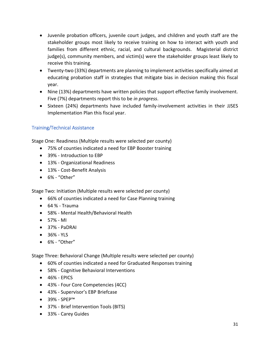- Juvenile probation officers, juvenile court judges, and children and youth staff are the stakeholder groups most likely to receive training on how to interact with youth and families from different ethnic, racial, and cultural backgrounds. Magisterial district judge(s), community members, and victim(s) were the stakeholder groups least likely to receive this training.
- Twenty-two (33%) departments are planning to implement activities specifically aimed at educating probation staff in strategies that mitigate bias in decision making this fiscal year.
- Nine (13%) departments have written policies that support effective family involvement. Five (7%) departments report this to be *in progress*.
- Sixteen (24%) departments have included family-involvement activities in their JJSES Implementation Plan this fiscal year.

## Training/Technical Assistance

Stage One: Readiness (Multiple results were selected per county)

- 75% of counties indicated a need for EBP Booster training
- 39% Introduction to EBP
- 13% Organizational Readiness
- 13% Cost-Benefit Analysis
- 6% "Other"

Stage Two: Initiation (Multiple results were selected per county)

- 66% of counties indicated a need for Case Planning training
- 64 % Trauma
- 58% Mental Health/Behavioral Health
- 57% MI
- 37% PaDRAI
- 36% YLS
- 6% "Other"

Stage Three: Behavioral Change (Multiple results were selected per county)

- 60% of counties indicated a need for Graduated Responses training
- 58% Cognitive Behavioral Interventions
- 46% EPICS
- 43% Four Core Competencies (4CC)
- 43% Supervisor's EBP Briefcase
- 39% SPEP™
- 37% Brief Intervention Tools (BITS)
- 33% Carey Guides